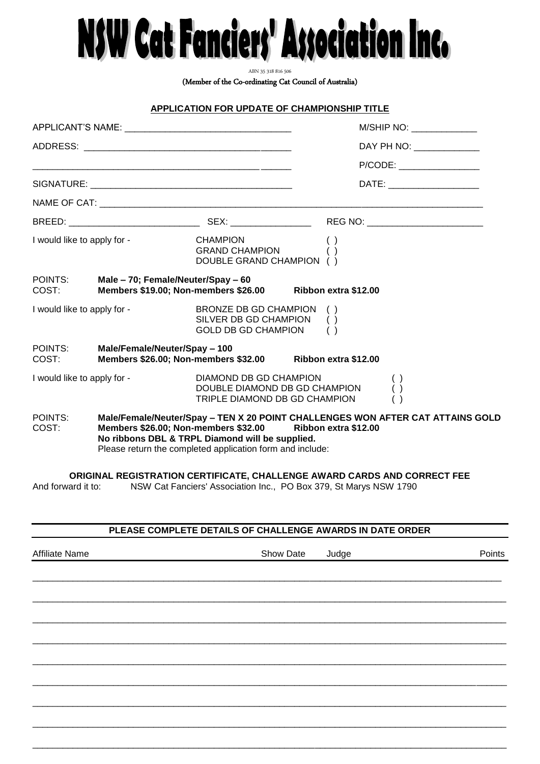NSW Cat Fanciers' Association Inc.

ABN 35 318 816 506

(Member of the Co-ordinating Cat Council of Australia)

## **APPLICATION FOR UPDATE OF CHAMPIONSHIP TITLE**

|                             |                                                                                                                                                                                                                                                             |                                                                                                                                               |  | M/SHIP NO: _____________      |  |                            |  |
|-----------------------------|-------------------------------------------------------------------------------------------------------------------------------------------------------------------------------------------------------------------------------------------------------------|-----------------------------------------------------------------------------------------------------------------------------------------------|--|-------------------------------|--|----------------------------|--|
|                             |                                                                                                                                                                                                                                                             |                                                                                                                                               |  |                               |  | DAY PH NO: ____________    |  |
|                             |                                                                                                                                                                                                                                                             |                                                                                                                                               |  |                               |  | P/CODE: __________________ |  |
|                             |                                                                                                                                                                                                                                                             |                                                                                                                                               |  | DATE: _______________________ |  |                            |  |
|                             |                                                                                                                                                                                                                                                             |                                                                                                                                               |  |                               |  |                            |  |
|                             |                                                                                                                                                                                                                                                             |                                                                                                                                               |  |                               |  |                            |  |
| I would like to apply for - |                                                                                                                                                                                                                                                             | <b>CHAMPION</b><br>GRAND CHAMPION<br>DOUBLE GRAND CHAMPION ()                                                                                 |  | ( )<br>( )                    |  |                            |  |
| POINTS:<br>COST:            | Male - 70; Female/Neuter/Spay - 60<br>Members \$19.00; Non-members \$26.00 Ribbon extra \$12.00                                                                                                                                                             |                                                                                                                                               |  |                               |  |                            |  |
| I would like to apply for - |                                                                                                                                                                                                                                                             | BRONZE DB GD CHAMPION ()<br>SILVER DB GD CHAMPION<br><b>GOLD DB GD CHAMPION</b>                                                               |  | ( )<br>( )                    |  |                            |  |
| POINTS:<br>COST:            | Male/Female/Neuter/Spay - 100                                                                                                                                                                                                                               | Members \$26.00; Non-members \$32.00                                                                                                          |  | Ribbon extra \$12.00          |  |                            |  |
| I would like to apply for - |                                                                                                                                                                                                                                                             | DIAMOND DB GD CHAMPION<br>DOUBLE DIAMOND DB GD CHAMPION<br>TRIPLE DIAMOND DB GD CHAMPION                                                      |  |                               |  |                            |  |
| POINTS:<br>COST:            | Male/Female/Neuter/Spay - TEN X 20 POINT CHALLENGES WON AFTER CAT ATTAINS GOLD<br>Members \$26.00; Non-members \$32.00 Ribbon extra \$12.00<br>No ribbons DBL & TRPL Diamond will be supplied.<br>Please return the completed application form and include: |                                                                                                                                               |  |                               |  |                            |  |
| And forward it to:          |                                                                                                                                                                                                                                                             | ORIGINAL REGISTRATION CERTIFICATE, CHALLENGE AWARD CARDS AND CORRECT FEE<br>NSW Cat Fanciers' Association Inc., PO Box 379, St Marys NSW 1790 |  |                               |  |                            |  |

## **PLEASE COMPLETE DETAILS OF CHALLENGE AWARDS IN DATE ORDER**

| Affiliate Name | Show Date | Judge | Points |
|----------------|-----------|-------|--------|
|                |           |       |        |
|                |           |       |        |
|                |           |       |        |
|                |           |       |        |
|                |           |       |        |
|                |           |       |        |
|                |           |       |        |
|                |           |       |        |
|                |           |       |        |
|                |           |       |        |
|                |           |       |        |